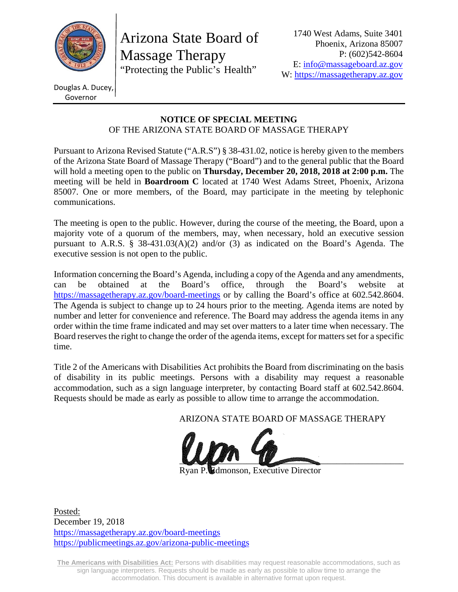

Arizona State Board of Massage Therapy "Protecting the Public's Health"

Douglas A. Ducey, Governor

#### **NOTICE OF SPECIAL MEETING**  OF THE ARIZONA STATE BOARD OF MASSAGE THERAPY

Pursuant to Arizona Revised Statute ("A.R.S") § 38-431.02, notice is hereby given to the members of the Arizona State Board of Massage Therapy ("Board") and to the general public that the Board will hold a meeting open to the public on **Thursday, December 20, 2018, 2018 at 2:00 p.m.** The meeting will be held in **Boardroom C** located at 1740 West Adams Street, Phoenix, Arizona 85007. One or more members, of the Board, may participate in the meeting by telephonic communications.

The meeting is open to the public. However, during the course of the meeting, the Board, upon a majority vote of a quorum of the members, may, when necessary, hold an executive session pursuant to A.R.S. § 38-431.03(A)(2) and/or (3) as indicated on the Board's Agenda. The executive session is not open to the public.

Information concerning the Board's Agenda, including a copy of the Agenda and any amendments, can be obtained at the Board's office, through the Board's website at https://massagetherapy.az.gov/board-meetings or by calling the Board's office at 602.542.8604. The Agenda is subject to change up to 24 hours prior to the meeting. Agenda items are noted by number and letter for convenience and reference. The Board may address the agenda items in any order within the time frame indicated and may set over matters to a later time when necessary. The Board reserves the right to change the order of the agenda items, except for matters set for a specific time.

Title 2 of the Americans with Disabilities Act prohibits the Board from discriminating on the basis of disability in its public meetings. Persons with a disability may request a reasonable accommodation, such as a sign language interpreter, by contacting Board staff at 602.542.8604. Requests should be made as early as possible to allow time to arrange the accommodation.

ARIZONA STATE BOARD OF MASSAGE THERAPY



**Edmonson, Executive Director** 

Posted: December 19, 2018 https://massagetherapy.az.gov/board-meetings https://publicmeetings.az.gov/arizona-public-meetings

**The Americans with Disabilities Act:** Persons with disabilities may request reasonable accommodations, such as sign language interpreters. Requests should be made as early as possible to allow time to arrange the accommodation. This document is available in alternative format upon request.